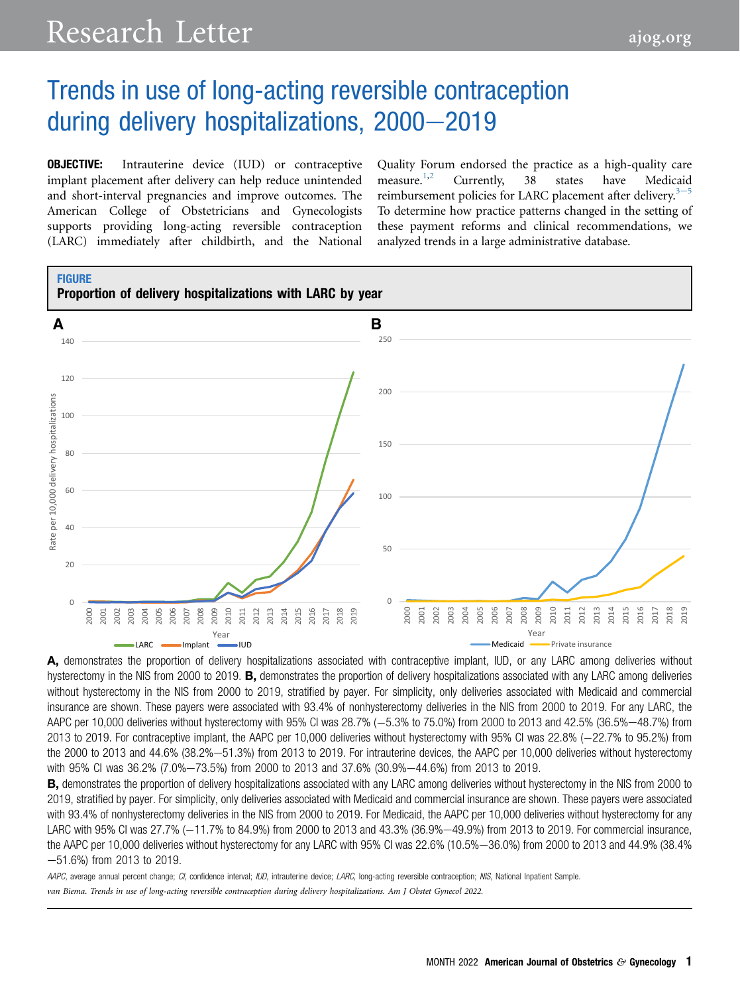## Trends in use of long-acting reversible contraception during delivery hospitalizations,  $2000 - 2019$

**OBJECTIVE:** Intrauterine device (IUD) or contraceptive implant placement after delivery can help reduce unintended and short-interval pregnancies and improve outcomes. The American College of Obstetricians and Gynecologists supports providing long-acting reversible contraception (LARC) immediately after childbirth, and the National Quality Forum endorsed the practice as a high-quality care measure.<sup>1[,2](#page-1-1)</sup> Currently, 38 states have Medicaid r[e](#page-1-2)imbursement policies for LARC placement after delivery. $3-5$ To determine how practice patterns changed in the setting of these payment reforms and clinical recommendations, we analyzed trends in a large administrative database.

<span id="page-0-0"></span>

A, demonstrates the proportion of delivery hospitalizations associated with contraceptive implant, IUD, or any LARC among deliveries without hysterectomy in the NIS from 2000 to 2019. **B**, demonstrates the proportion of delivery hospitalizations associated with any LARC among deliveries without hysterectomy in the NIS from 2000 to 2019, stratified by payer. For simplicity, only deliveries associated with Medicaid and commercial insurance are shown. These payers were associated with 93.4% of nonhysterectomy deliveries in the NIS from 2000 to 2019. For any LARC, the AAPC per 10,000 deliveries without hysterectomy with 95% CI was  $28.7\%$  ( $-5.3\%$  to 75.0%) from 2000 to 2013 and 42.5% (36.5% $-48.7\%$ ) from 2013 to 2019. For contraceptive implant, the AAPC per 10,000 deliveries without hysterectomy with 95% CI was 22.8% (-22.7% to 95.2%) from the 2000 to 2013 and 44.6% (38.2%-51.3%) from 2013 to 2019. For intrauterine devices, the AAPC per 10,000 deliveries without hysterectomy with 95% CI was  $36.2\%$  (7.0% $-73.5\%$ ) from 2000 to 2013 and 37.6% (30.9% $-44.6\%$ ) from 2013 to 2019.

B, demonstrates the proportion of delivery hospitalizations associated with any LARC among deliveries without hysterectomy in the NIS from 2000 to 2019, stratified by payer. For simplicity, only deliveries associated with Medicaid and commercial insurance are shown. These payers were associated with 93.4% of nonhysterectomy deliveries in the NIS from 2000 to 2019. For Medicaid, the AAPC per 10,000 deliveries without hysterectomy for any LARC with 95% CI was 27.7% (-11.7% to 84.9%) from 2000 to 2013 and 43.3% (36.9%-49.9%) from 2013 to 2019. For commercial insurance, the AAPC per 10,000 deliveries without hysterectomy for any LARC with 95% CI was 22.6% (10.5%-36.0%) from 2000 to 2013 and 44.9% (38.4%  $-51.6\%$ ) from 2013 to 2019.

AAPC, average annual percent change; CI, confidence interval; IUD, intrauterine device; LARC, long-acting reversible contraception; NIS, National Inpatient Sample. van Biema. Trends in use of long-acting reversible contraception during delivery hospitalizations. Am J Obstet Gynecol 2022.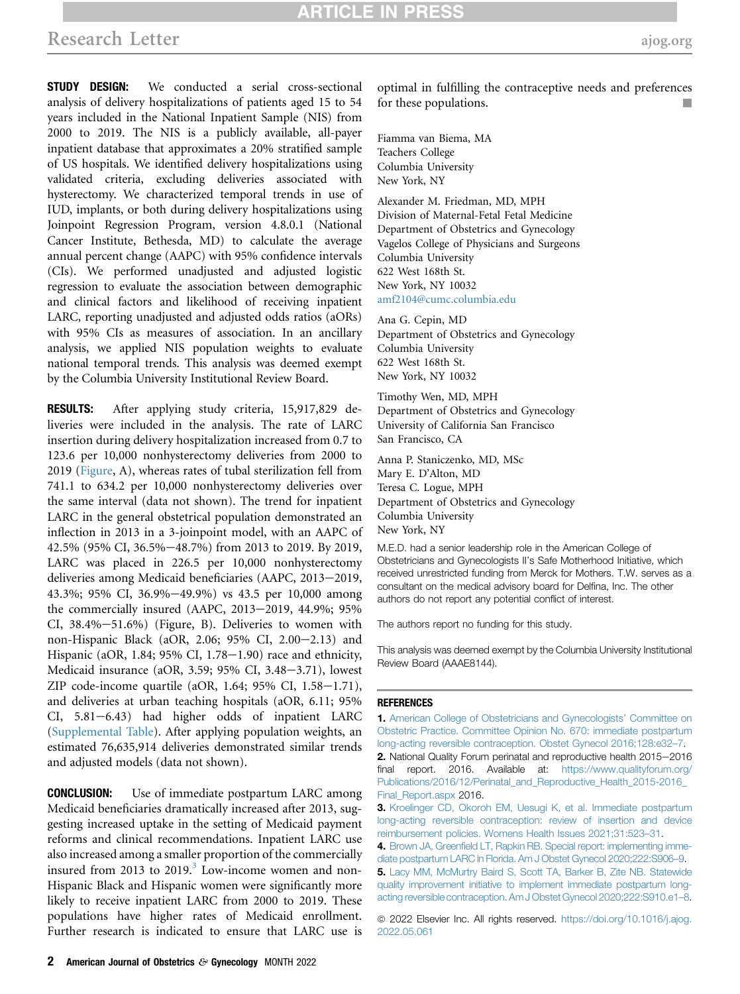## **ARTICLE IN PRESS**

# <u>Research Letter and Changes and Changes and Changes and Changes and Changes and Changes and Changes and Changes and</u>

STUDY DESIGN: We conducted a serial cross-sectional analysis of delivery hospitalizations of patients aged 15 to 54 years included in the National Inpatient Sample (NIS) from 2000 to 2019. The NIS is a publicly available, all-payer inpatient database that approximates a 20% stratified sample of US hospitals. We identified delivery hospitalizations using validated criteria, excluding deliveries associated with hysterectomy. We characterized temporal trends in use of IUD, implants, or both during delivery hospitalizations using Joinpoint Regression Program, version 4.8.0.1 (National Cancer Institute, Bethesda, MD) to calculate the average annual percent change (AAPC) with 95% confidence intervals (CIs). We performed unadjusted and adjusted logistic regression to evaluate the association between demographic and clinical factors and likelihood of receiving inpatient LARC, reporting unadjusted and adjusted odds ratios (aORs) with 95% CIs as measures of association. In an ancillary analysis, we applied NIS population weights to evaluate national temporal trends. This analysis was deemed exempt by the Columbia University Institutional Review Board.

RESULTS: After applying study criteria, 15,917,829 deliveries were included in the analysis. The rate of LARC insertion during delivery hospitalization increased from 0.7 to 123.6 per 10,000 nonhysterectomy deliveries from 2000 to 2019 [\(Figure,](#page-0-0) A), whereas rates of tubal sterilization fell from 741.1 to 634.2 per 10,000 nonhysterectomy deliveries over the same interval (data not shown). The trend for inpatient LARC in the general obstetrical population demonstrated an inflection in 2013 in a 3-joinpoint model, with an AAPC of 42.5% (95% CI, 36.5%-48.7%) from 2013 to 2019. By 2019, LARC was placed in 226.5 per 10,000 nonhysterectomy deliveries among Medicaid beneficiaries (AAPC, 2013-2019, 43.3%; 95% CI, 36.9%-49.9%) vs 43.5 per 10,000 among the commercially insured (AAPC,  $2013-2019$ ,  $44.9\%$ ;  $95\%$ CI,  $38.4\% - 51.6\%$ ) (Figure, B). Deliveries to women with non-Hispanic Black (aOR, 2.06; 95% CI, 2.00 $-2.13$ ) and Hispanic (aOR, 1.84; 95% CI, 1.78 $-1.90$ ) race and ethnicity, Medicaid insurance (aOR, 3.59; 95% CI, 3.48 $-3.71$ ), lowest ZIP code-income quartile (aOR, 1.64; 95% CI, 1.58-1.71), and deliveries at urban teaching hospitals (aOR, 6.11; 95%  $CI, 5.81-6.43)$  had higher odds of inpatient LARC [\(Supplemental Table](#page-2-0)). After applying population weights, an estimated 76,635,914 deliveries demonstrated similar trends and adjusted models (data not shown).

**CONCLUSION:** Use of immediate postpartum LARC among Medicaid beneficiaries dramatically increased after 2013, suggesting increased uptake in the setting of Medicaid payment reforms and clinical recommendations. Inpatient LARC use also increased among a smaller proportion of the commercially insured from 201[3](#page-1-2) to 2019. $3$  Low-income women and non-Hispanic Black and Hispanic women were significantly more likely to receive inpatient LARC from 2000 to 2019. These populations have higher rates of Medicaid enrollment. Further research is indicated to ensure that LARC use is

optimal in fulfilling the contraceptive needs and preferences for these populations.

Fiamma van Biema, MA Teachers College Columbia University New York, NY

Alexander M. Friedman, MD, MPH Division of Maternal-Fetal Fetal Medicine Department of Obstetrics and Gynecology Vagelos College of Physicians and Surgeons Columbia University 622 West 168th St. New York, NY 10032 [amf2104@cumc.columbia.edu](mailto:amf2104@cumc.columbia.edu)

Ana G. Cepin, MD Department of Obstetrics and Gynecology Columbia University 622 West 168th St. New York, NY 10032

Timothy Wen, MD, MPH Department of Obstetrics and Gynecology University of California San Francisco San Francisco, CA

Anna P. Staniczenko, MD, MSc Mary E. D'Alton, MD Teresa C. Logue, MPH Department of Obstetrics and Gynecology Columbia University New York, NY

M.E.D. had a senior leadership role in the American College of Obstetricians and Gynecologists II's Safe Motherhood Initiative, which received unrestricted funding from Merck for Mothers. T.W. serves as a consultant on the medical advisory board for Delfina, Inc. The other authors do not report any potential conflict of interest.

The authors report no funding for this study.

This analysis was deemed exempt by the Columbia University Institutional Review Board (AAAE8144).

#### <span id="page-1-0"></span>REFERENCES

<span id="page-1-1"></span><sup>1.</sup> [American College of Obstetricians and Gynecologists](http://refhub.elsevier.com/S0002-9378(22)00436-7/sref1)' Committee on [Obstetric Practice. Committee Opinion No. 670: immediate postpartum](http://refhub.elsevier.com/S0002-9378(22)00436-7/sref1) [long-acting reversible contraception. Obstet Gynecol 2016;128:e32](http://refhub.elsevier.com/S0002-9378(22)00436-7/sref1)–7. 2. National Quality Forum perinatal and reproductive health 2015-2016 final report. 2016. Available at: [https://www.qualityforum.org/](https://www.qualityforum.org/Publications/2016/12/Perinatal_and_Reproductive_Health_2015-2016_Final_Report.aspx) [Publications/2016/12/Perinatal\\_and\\_Reproductive\\_Health\\_2015-2016\\_](https://www.qualityforum.org/Publications/2016/12/Perinatal_and_Reproductive_Health_2015-2016_Final_Report.aspx) [Final\\_Report.aspx](https://www.qualityforum.org/Publications/2016/12/Perinatal_and_Reproductive_Health_2015-2016_Final_Report.aspx) 2016.

<span id="page-1-2"></span><sup>3.</sup> [Kroelinger CD, Okoroh EM, Uesugi K, et al. Immediate postpartum](http://refhub.elsevier.com/S0002-9378(22)00436-7/sref3) [long-acting reversible contraception: review of insertion and device](http://refhub.elsevier.com/S0002-9378(22)00436-7/sref3) [reimbursement policies. Womens Health Issues 2021;31:523](http://refhub.elsevier.com/S0002-9378(22)00436-7/sref3)–31.

<sup>4.</sup> Brown JA, Greenfi[eld LT, Rapkin RB. Special report: implementing imme](http://refhub.elsevier.com/S0002-9378(22)00436-7/sref4)[diate postpartum LARC in Florida. Am J Obstet Gynecol 2020;222:S906](http://refhub.elsevier.com/S0002-9378(22)00436-7/sref4)–9. 5. [Lacy MM, McMurtry Baird S, Scott TA, Barker B, Zite NB. Statewide](http://refhub.elsevier.com/S0002-9378(22)00436-7/sref5) [quality improvement initiative to implement immediate postpartum long](http://refhub.elsevier.com/S0002-9378(22)00436-7/sref5)[acting reversible contraception. Am J Obstet Gynecol 2020;222:S910.e1](http://refhub.elsevier.com/S0002-9378(22)00436-7/sref5)–8.

<sup>© 2022</sup> Elsevier Inc. All rights reserved. [https://doi.org/10.1016/j.ajog.](https://doi.org/10.1016/j.ajog.2022.05.061) [2022.05.061](https://doi.org/10.1016/j.ajog.2022.05.061)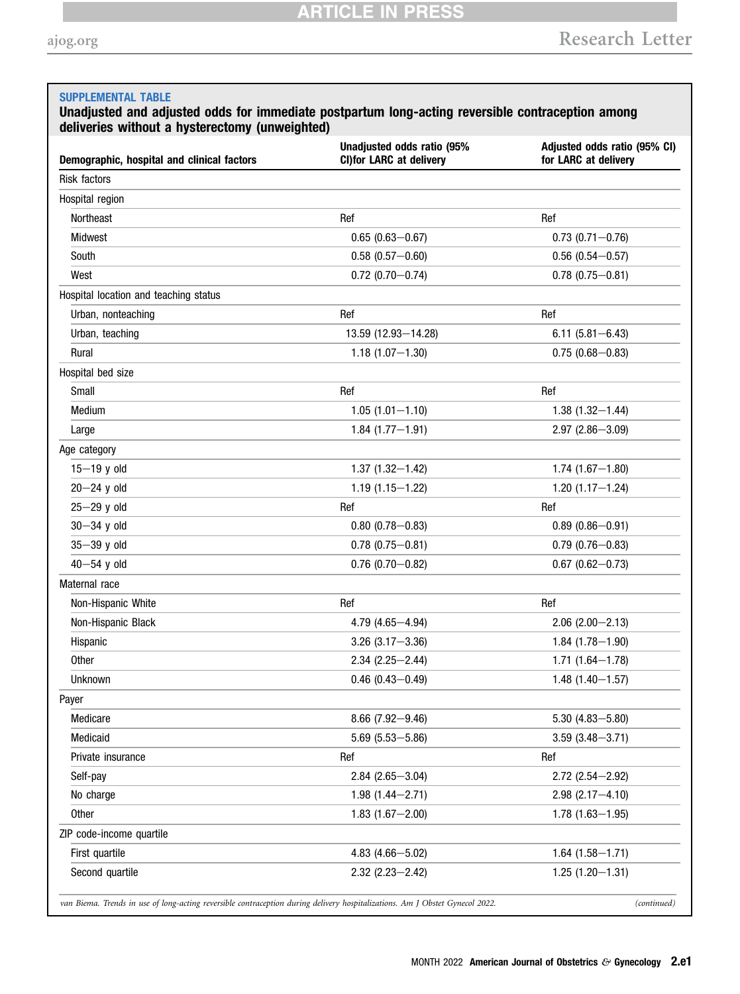#### <span id="page-2-0"></span>SUPPLEMENTAL TABLE

### Unadjusted and adjusted odds for immediate postpartum long-acting reversible contraception among deliveries without a hysterectomy (unweighted)

| Demographic, hospital and clinical factors                                                                                   | Unadjusted odds ratio (95%<br><b>CI)for LARC at delivery</b> | Adjusted odds ratio (95% CI)<br>for LARC at delivery |
|------------------------------------------------------------------------------------------------------------------------------|--------------------------------------------------------------|------------------------------------------------------|
| Risk factors                                                                                                                 |                                                              |                                                      |
| Hospital region                                                                                                              |                                                              |                                                      |
| Northeast                                                                                                                    | Ref                                                          | Ref                                                  |
| Midwest                                                                                                                      | $0.65(0.63 - 0.67)$                                          | $0.73$ (0.71-0.76)                                   |
| South                                                                                                                        | $0.58$ $(0.57 - 0.60)$                                       | $0.56$ (0.54 - 0.57)                                 |
| West                                                                                                                         | $0.72$ (0.70 $-0.74$ )                                       | $0.78$ (0.75-0.81)                                   |
| Hospital location and teaching status                                                                                        |                                                              |                                                      |
| Urban, nonteaching                                                                                                           | Ref                                                          | Ref                                                  |
| Urban, teaching                                                                                                              | 13.59 (12.93-14.28)                                          | $6.11(5.81 - 6.43)$                                  |
| Rural                                                                                                                        | $1.18(1.07 - 1.30)$                                          | $0.75(0.68 - 0.83)$                                  |
| Hospital bed size                                                                                                            |                                                              |                                                      |
| Small                                                                                                                        | Ref                                                          | Ref                                                  |
| Medium                                                                                                                       | $1.05(1.01 - 1.10)$                                          | $1.38(1.32 - 1.44)$                                  |
| Large                                                                                                                        | $1.84(1.77 - 1.91)$                                          | $2.97(2.86 - 3.09)$                                  |
| Age category                                                                                                                 |                                                              |                                                      |
| $15 - 19$ y old                                                                                                              | $1.37(1.32 - 1.42)$                                          | $1.74(1.67 - 1.80)$                                  |
| $20 - 24$ y old                                                                                                              | $1.19(1.15 - 1.22)$                                          | $1.20(1.17 - 1.24)$                                  |
| $25 - 29$ y old                                                                                                              | Ref                                                          | Ref                                                  |
| $30 - 34$ y old                                                                                                              | $0.80$ (0.78-0.83)                                           | $0.89(0.86 - 0.91)$                                  |
| $35 - 39$ y old                                                                                                              | $0.78$ (0.75-0.81)                                           | $0.79$ (0.76-0.83)                                   |
| $40 - 54$ y old                                                                                                              | $0.76$ (0.70 $-0.82$ )                                       | $0.67$ (0.62-0.73)                                   |
| Maternal race                                                                                                                |                                                              |                                                      |
| Non-Hispanic White                                                                                                           | Ref                                                          | Ref                                                  |
| Non-Hispanic Black                                                                                                           | $4.79(4.65 - 4.94)$                                          | $2.06$ (2.00-2.13)                                   |
| Hispanic                                                                                                                     | $3.26$ $(3.17 - 3.36)$                                       | $1.84(1.78 - 1.90)$                                  |
| <b>Other</b>                                                                                                                 | $2.34(2.25 - 2.44)$                                          | $1.71(1.64 - 1.78)$                                  |
| Unknown                                                                                                                      | $0.46$ (0.43-0.49)                                           | $1.48(1.40 - 1.57)$                                  |
| Payer                                                                                                                        |                                                              |                                                      |
| Medicare                                                                                                                     | $8.66$ (7.92-9.46)                                           | $5.30(4.83 - 5.80)$                                  |
| Medicaid                                                                                                                     | $5.69$ $(5.53 - 5.86)$                                       | $3.59$ $(3.48 - 3.71)$                               |
| Private insurance                                                                                                            | Ref                                                          | Ref                                                  |
| Self-pay                                                                                                                     | $2.84(2.65 - 3.04)$                                          | $2.72$ (2.54-2.92)                                   |
| No charge                                                                                                                    | $1.98(1.44 - 2.71)$                                          | $2.98(2.17 - 4.10)$                                  |
| Other                                                                                                                        | $1.83(1.67 - 2.00)$                                          | $1.78(1.63 - 1.95)$                                  |
| ZIP code-income quartile                                                                                                     |                                                              |                                                      |
| First quartile                                                                                                               | 4.83 $(4.66 - 5.02)$                                         | $1.64$ (1.58-1.71)                                   |
| Second quartile                                                                                                              | $2.32$ (2.23-2.42)                                           | $1.25(1.20 - 1.31)$                                  |
| van Biema. Trends in use of long-acting reversible contraception during delivery hospitalizations. Am J Obstet Gynecol 2022. |                                                              | (continued)                                          |